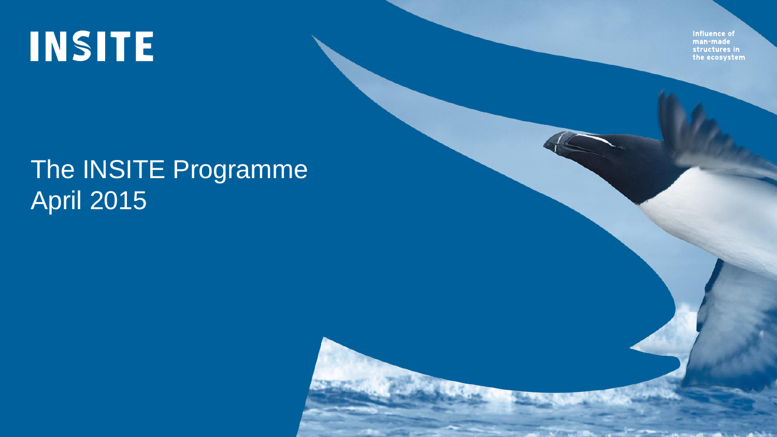**INSITE** 

Influence of man-made structures in the ecosystem

## The INSITE Programme April 2015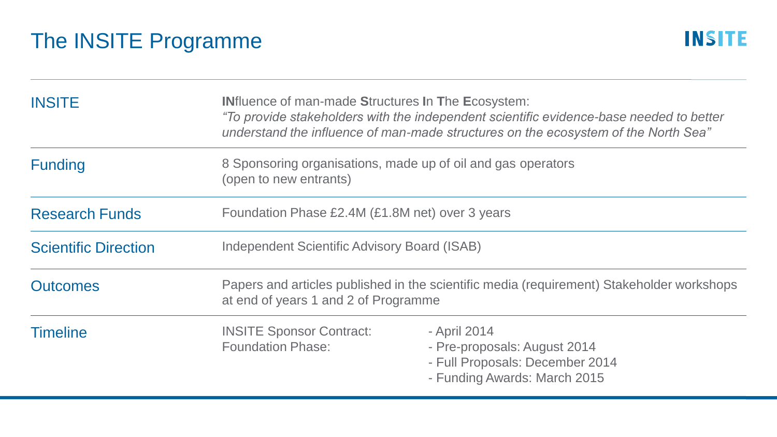| <b>INSITE</b>               | <b>INfluence of man-made Structures In The Ecosystem:</b><br>"To provide stakeholders with the independent scientific evidence-base needed to better<br>understand the influence of man-made structures on the ecosystem of the North Sea" |                                                                                                                 |  |
|-----------------------------|--------------------------------------------------------------------------------------------------------------------------------------------------------------------------------------------------------------------------------------------|-----------------------------------------------------------------------------------------------------------------|--|
| <b>Funding</b>              | 8 Sponsoring organisations, made up of oil and gas operators<br>(open to new entrants)                                                                                                                                                     |                                                                                                                 |  |
| <b>Research Funds</b>       | Foundation Phase £2.4M (£1.8M net) over 3 years                                                                                                                                                                                            |                                                                                                                 |  |
| <b>Scientific Direction</b> | Independent Scientific Advisory Board (ISAB)                                                                                                                                                                                               |                                                                                                                 |  |
| <b>Outcomes</b>             | Papers and articles published in the scientific media (requirement) Stakeholder workshops<br>at end of years 1 and 2 of Programme                                                                                                          |                                                                                                                 |  |
| <b>Timeline</b>             | <b>INSITE Sponsor Contract:</b><br><b>Foundation Phase:</b>                                                                                                                                                                                | - April 2014<br>- Pre-proposals: August 2014<br>- Full Proposals: December 2014<br>- Funding Awards: March 2015 |  |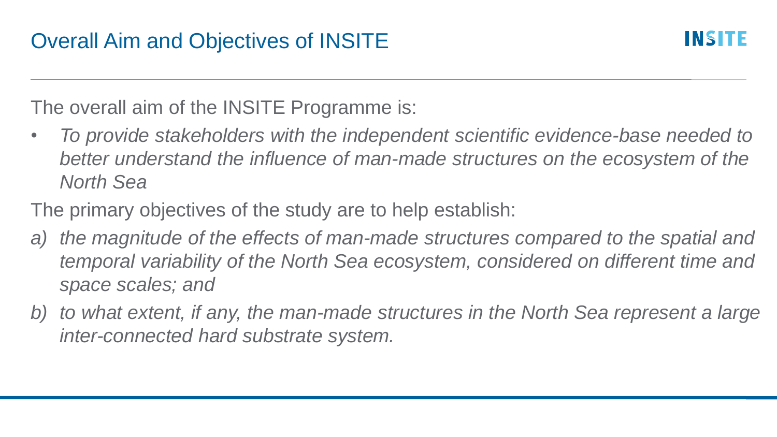The overall aim of the INSITE Programme is:

- *To provide stakeholders with the independent scientific evidence-base needed to better understand the influence of man-made structures on the ecosystem of the North Sea*
- The primary objectives of the study are to help establish:
- *a) the magnitude of the effects of man-made structures compared to the spatial and temporal variability of the North Sea ecosystem, considered on different time and space scales; and*
- *b) to what extent, if any, the man-made structures in the North Sea represent a large inter-connected hard substrate system.*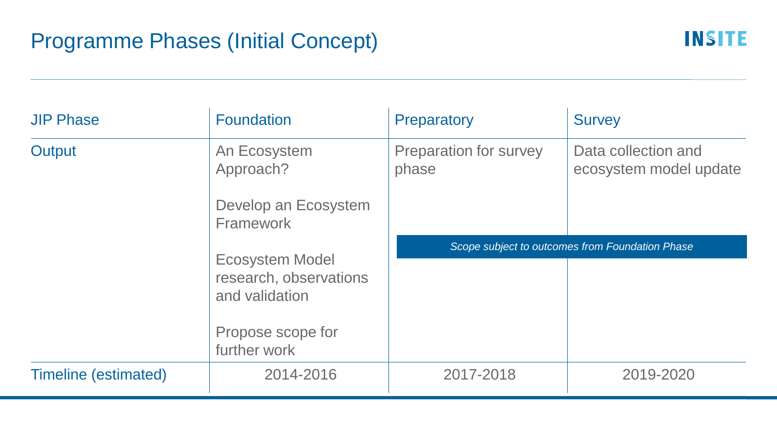| <b>JIP Phase</b>            | <b>Foundation</b>                                                  | Preparatory                                     | <b>Survey</b>                                 |
|-----------------------------|--------------------------------------------------------------------|-------------------------------------------------|-----------------------------------------------|
| Output                      | An Ecosystem<br>Approach?                                          | Preparation for survey<br>phase                 | Data collection and<br>ecosystem model update |
|                             | Develop an Ecosystem<br>Framework                                  |                                                 |                                               |
|                             | <b>Ecosystem Model</b><br>research, observations<br>and validation | Scope subject to outcomes from Foundation Phase |                                               |
|                             |                                                                    |                                                 |                                               |
|                             | Propose scope for<br>further work                                  |                                                 |                                               |
| <b>Timeline (estimated)</b> | 2014-2016                                                          | 2017-2018                                       | 2019-2020                                     |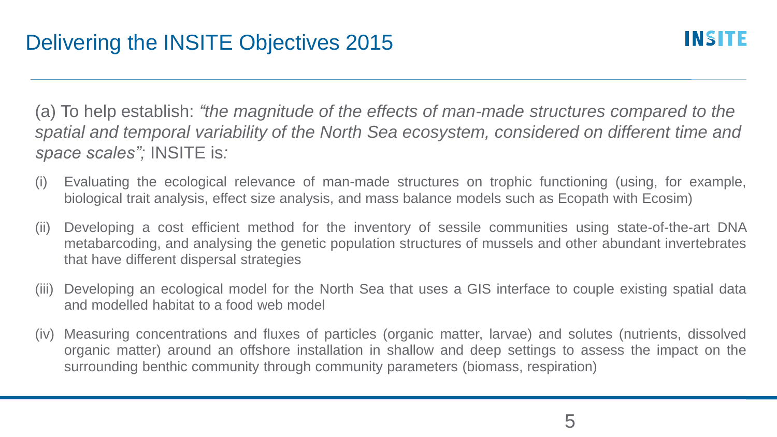(a) To help establish: *"the magnitude of the effects of man-made structures compared to the spatial and temporal variability of the North Sea ecosystem, considered on different time and space scales";* INSITE is*:*

- (i) Evaluating the ecological relevance of man-made structures on trophic functioning (using, for example, biological trait analysis, effect size analysis, and mass balance models such as Ecopath with Ecosim)
- (ii) Developing a cost efficient method for the inventory of sessile communities using state-of-the-art DNA metabarcoding, and analysing the genetic population structures of mussels and other abundant invertebrates that have different dispersal strategies
- (iii) Developing an ecological model for the North Sea that uses a GIS interface to couple existing spatial data and modelled habitat to a food web model
- (iv) Measuring concentrations and fluxes of particles (organic matter, larvae) and solutes (nutrients, dissolved organic matter) around an offshore installation in shallow and deep settings to assess the impact on the surrounding benthic community through community parameters (biomass, respiration)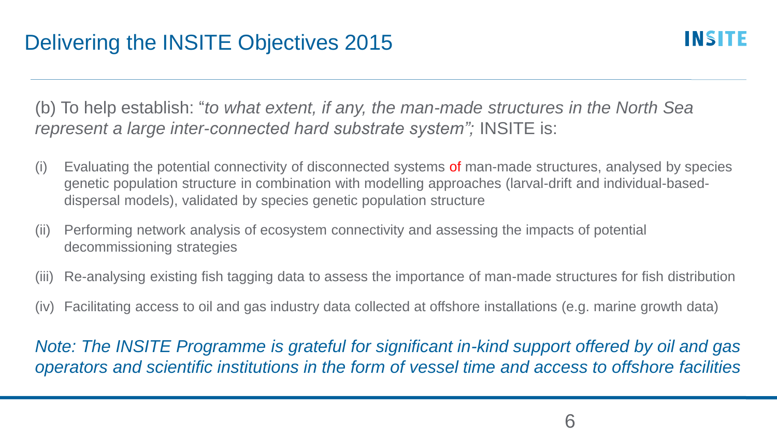(b) To help establish: "*to what extent, if any, the man-made structures in the North Sea represent a large inter-connected hard substrate system";* INSITE is:

- (i) Evaluating the potential connectivity of disconnected systems of man-made structures, analysed by species genetic population structure in combination with modelling approaches (larval-drift and individual-baseddispersal models), validated by species genetic population structure
- (ii) Performing network analysis of ecosystem connectivity and assessing the impacts of potential decommissioning strategies
- (iii) Re-analysing existing fish tagging data to assess the importance of man-made structures for fish distribution
- (iv) Facilitating access to oil and gas industry data collected at offshore installations (e.g. marine growth data)

*Note: The INSITE Programme is grateful for significant in-kind support offered by oil and gas operators and scientific institutions in the form of vessel time and access to offshore facilities*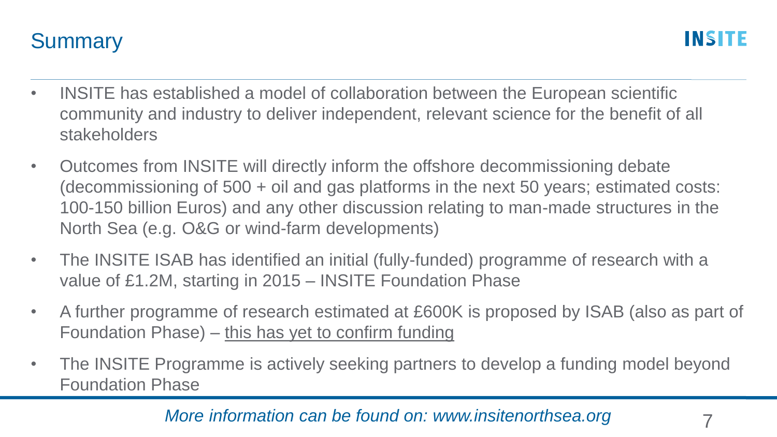

- INSITE has established a model of collaboration between the European scientific community and industry to deliver independent, relevant science for the benefit of all stakeholders
- Outcomes from INSITE will directly inform the offshore decommissioning debate (decommissioning of 500 + oil and gas platforms in the next 50 years; estimated costs: 100-150 billion Euros) and any other discussion relating to man-made structures in the North Sea (e.g. O&G or wind-farm developments)
- The INSITE ISAB has identified an initial (fully-funded) programme of research with a value of £1.2M, starting in 2015 – INSITE Foundation Phase
- A further programme of research estimated at £600K is proposed by ISAB (also as part of Foundation Phase) – this has yet to confirm funding
- The INSITE Programme is actively seeking partners to develop a funding model beyond Foundation Phase

## *More information can be found on: www.insitenorthsea.org* 7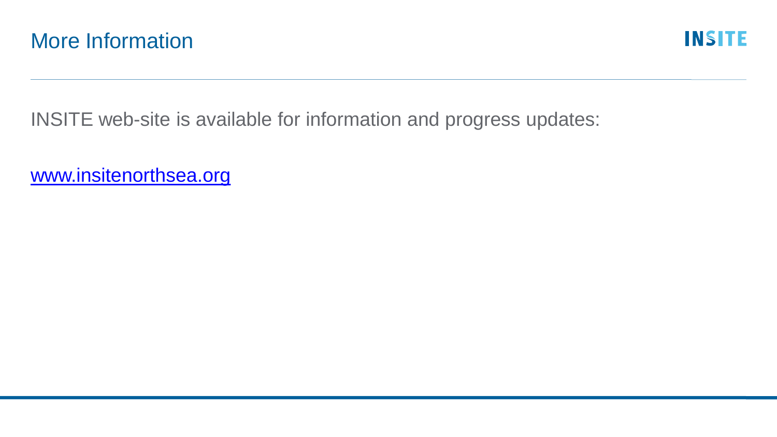INSITE web-site is available for information and progress updates:

[www.insitenorthsea.org](http://www.insitenorthsea.org)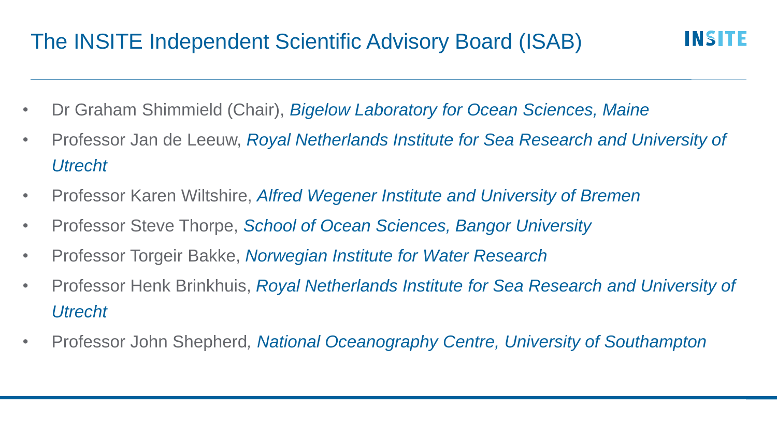## The INSITE Independent Scientific Advisory Board (ISAB)

- Dr Graham Shimmield (Chair), *Bigelow Laboratory for Ocean Sciences, Maine*
- Professor Jan de Leeuw, *Royal Netherlands Institute for Sea Research and University of Utrecht*
- Professor Karen Wiltshire, *Alfred Wegener Institute and University of Bremen*
- Professor Steve Thorpe, *School of Ocean Sciences, Bangor University*
- Professor Torgeir Bakke, *Norwegian Institute for Water Research*
- Professor Henk Brinkhuis, *Royal Netherlands Institute for Sea Research and University of Utrecht*
- Professor John Shepherd*, National Oceanography Centre, University of Southampton*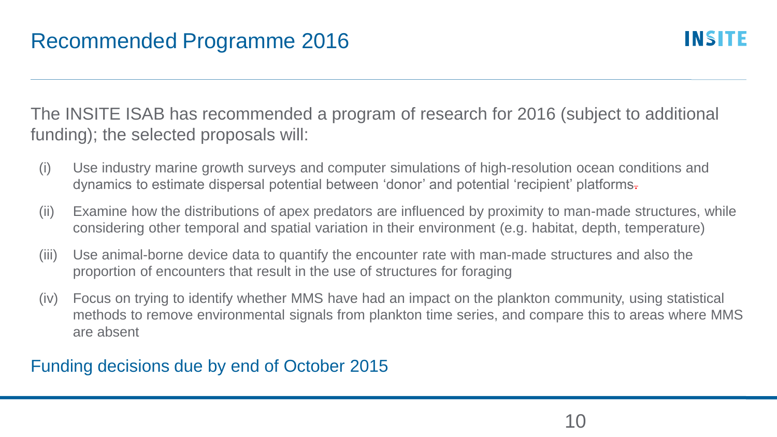The INSITE ISAB has recommended a program of research for 2016 (subject to additional funding); the selected proposals will:

- (i) Use industry marine growth surveys and computer simulations of high-resolution ocean conditions and dynamics to estimate dispersal potential between 'donor' and potential 'recipient' platforms.
- (ii) Examine how the distributions of apex predators are influenced by proximity to man-made structures, while considering other temporal and spatial variation in their environment (e.g. habitat, depth, temperature)
- (iii) Use animal-borne device data to quantify the encounter rate with man-made structures and also the proportion of encounters that result in the use of structures for foraging
- (iv) Focus on trying to identify whether MMS have had an impact on the plankton community, using statistical methods to remove environmental signals from plankton time series, and compare this to areas where MMS are absent

## Funding decisions due by end of October 2015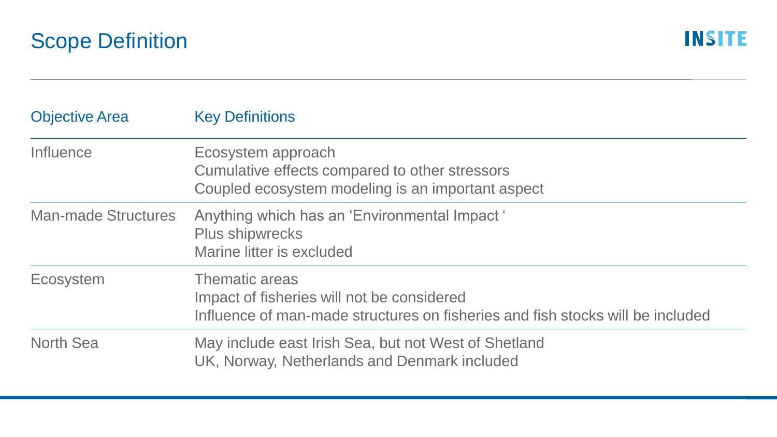| <b>Objective Area</b>      | <b>Key Definitions</b>                                                                                                                                |
|----------------------------|-------------------------------------------------------------------------------------------------------------------------------------------------------|
| Influence                  | Ecosystem approach<br>Cumulative effects compared to other stressors<br>Coupled ecosystem modeling is an important aspect                             |
| <b>Man-made Structures</b> | Anything which has an 'Environmental Impact'<br><b>Plus shipwrecks</b><br>Marine litter is excluded                                                   |
| Ecosystem                  | <b>Thematic areas</b><br>Impact of fisheries will not be considered<br>Influence of man-made structures on fisheries and fish stocks will be included |
| <b>North Sea</b>           | May include east Irish Sea, but not West of Shetland<br>UK, Norway, Netherlands and Denmark included                                                  |